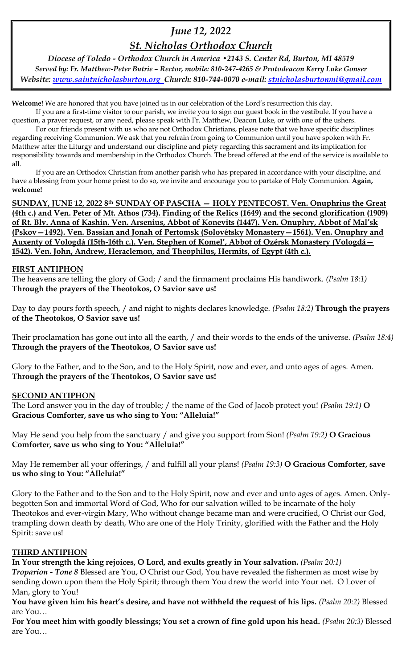# *June 12, 2022 St. Nicholas Orthodox Church*

*Diocese of Toledo - Orthodox Church in America •2143 S. Center Rd, Burton, MI 48519 Served by: Fr. Matthew-Peter Butrie – Rector, mobile: 810-247-4265 & Protodeacon Kerry Luke Gonser Website: [www.saintnicholasburton.org](http://www.saintnicholasburton.org/) Church: 810-744-0070 e-mail: [stnicholasburtonmi@gmail.com](mailto:stnicholasburtonmi@gmail.com)*

**Welcome!** We are honored that you have joined us in our celebration of the Lord's resurrection this day.

If you are a first-time visitor to our parish, we invite you to sign our guest book in the vestibule. If you have a question, a prayer request, or any need, please speak with Fr. Matthew, Deacon Luke, or with one of the ushers.

For our friends present with us who are not Orthodox Christians, please note that we have specific disciplines regarding receiving Communion. We ask that you refrain from going to Communion until you have spoken with Fr. Matthew after the Liturgy and understand our discipline and piety regarding this sacrament and its implication for responsibility towards and membership in the Orthodox Church. The bread offered at the end of the service is available to all.

If you are an Orthodox Christian from another parish who has prepared in accordance with your discipline, and have a blessing from your home priest to do so, we invite and encourage you to partake of Holy Communion. **Again, welcome!** 

**SUNDAY, JUNE 12, 2022 8th SUNDAY OF PASCHA — HOLY PENTECOST. Ven. Onuphrius the Great (4th c.) and Ven. Peter of Mt. Athos (734). Finding of the Relics (1649) and the second glorification (1909) of Rt. Blv. Anna of Kashin. Ven. Arsenius, Abbot of Konevits (1447). Ven. Onuphry, Abbot of Mal'sk (Pskov—1492). Ven. Bassian and Jonah of Pertomsk (Solovétsky Monastery—1561). Ven. Onuphry and Auxenty of Vologdá (15th-16th c.). Ven. Stephen of Komel', Abbot of Ozérsk Monastery (Vologdá— 1542). Ven. John, Andrew, Heraclemon, and Theophilus, Hermits, of Egypt (4th c.).**

## **FIRST ANTIPHON**

The heavens are telling the glory of God; / and the firmament proclaims His handiwork. *(Psalm 18:1)* **Through the prayers of the Theotokos, O Savior save us!**

Day to day pours forth speech, / and night to nights declares knowledge. *(Psalm 18:2)* **Through the prayers of the Theotokos, O Savior save us!**

Their proclamation has gone out into all the earth, / and their words to the ends of the universe. *(Psalm 18:4)* **Through the prayers of the Theotokos, O Savior save us!**

Glory to the Father, and to the Son, and to the Holy Spirit, now and ever, and unto ages of ages. Amen. **Through the prayers of the Theotokos, O Savior save us!**

# **SECOND ANTIPHON**

The Lord answer you in the day of trouble; / the name of the God of Jacob protect you! *(Psalm 19:1)* **O Gracious Comforter, save us who sing to You: "Alleluia!"**

May He send you help from the sanctuary / and give you support from Sion! *(Psalm 19:2)* **O Gracious Comforter, save us who sing to You: "Alleluia!"**

May He remember all your offerings, / and fulfill all your plans! *(Psalm 19:3)* **O Gracious Comforter, save us who sing to You: "Alleluia!"**

Glory to the Father and to the Son and to the Holy Spirit, now and ever and unto ages of ages. Amen. Onlybegotten Son and immortal Word of God, Who for our salvation willed to be incarnate of the holy Theotokos and ever-virgin Mary, Who without change became man and were crucified, O Christ our God, trampling down death by death, Who are one of the Holy Trinity, glorified with the Father and the Holy Spirit: save us!

### **THIRD ANTIPHON**

**In Your strength the king rejoices, O Lord, and exults greatly in Your salvation.** *(Psalm 20:1) Troparion - Tone 8* Blessed are You, O Christ our God, You have revealed the fishermen as most wise by sending down upon them the Holy Spirit; through them You drew the world into Your net. O Lover of Man, glory to You!

**You have given him his heart's desire, and have not withheld the request of his lips.** *(Psalm 20:2)* Blessed are You…

**For You meet him with goodly blessings; You set a crown of fine gold upon his head.** *(Psalm 20:3)* Blessed are You…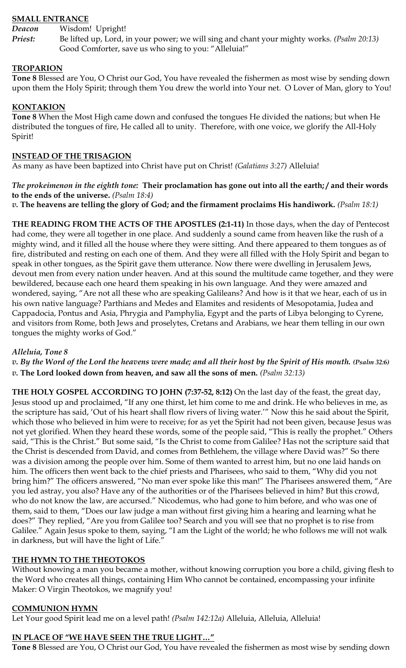## **SMALL ENTRANCE**

- *Deacon* Wisdom! Upright!
- *Priest:* Be lifted up, Lord, in your power; we will sing and chant your mighty works. *(Psalm 20:13)* Good Comforter, save us who sing to you: "Alleluia!"

# **TROPARION**

**Tone 8** Blessed are You, O Christ our God, You have revealed the fishermen as most wise by sending down upon them the Holy Spirit; through them You drew the world into Your net. O Lover of Man, glory to You!

# **KONTAKION**

**Tone 8** When the Most High came down and confused the tongues He divided the nations; but when He distributed the tongues of fire, He called all to unity. Therefore, with one voice, we glorify the All-Holy Spirit!

## **INSTEAD OF THE TRISAGION**

As many as have been baptized into Christ have put on Christ! *(Galatians 3:27)* Alleluia!

## *The prokeimenon in the eighth tone:* **Their proclamation has gone out into all the earth; / and their words to the ends of the universe.** *(Psalm 18:4)*

*v.* **The heavens are telling the glory of God; and the firmament proclaims His handiwork.** *(Psalm 18:1)*

**THE READING FROM THE ACTS OF THE APOSTLES (2:1-11)** In those days, when the day of Pentecost had come, they were all together in one place. And suddenly a sound came from heaven like the rush of a mighty wind, and it filled all the house where they were sitting. And there appeared to them tongues as of fire, distributed and resting on each one of them. And they were all filled with the Holy Spirit and began to speak in other tongues, as the Spirit gave them utterance. Now there were dwelling in Jerusalem Jews, devout men from every nation under heaven. And at this sound the multitude came together, and they were bewildered, because each one heard them speaking in his own language. And they were amazed and wondered, saying, "Are not all these who are speaking Galileans? And how is it that we hear, each of us in his own native language? Parthians and Medes and Elamites and residents of Mesopotamia, Judea and Cappadocia, Pontus and Asia, Phrygia and Pamphylia, Egypt and the parts of Libya belonging to Cyrene, and visitors from Rome, both Jews and proselytes, Cretans and Arabians, we hear them telling in our own tongues the mighty works of God."

### *Alleluia, Tone 8*

*v. By the Word of the Lord the heavens were made; and all their host by the Spirit of His mouth. (Psalm 32:6) v.* **The Lord looked down from heaven, and saw all the sons of men.** *(Psalm 32:13)*

**THE HOLY GOSPEL ACCORDING TO JOHN (7:37-52, 8:12)** On the last day of the feast, the great day, Jesus stood up and proclaimed, "If any one thirst, let him come to me and drink. He who believes in me, as the scripture has said, 'Out of his heart shall flow rivers of living water.'" Now this he said about the Spirit, which those who believed in him were to receive; for as yet the Spirit had not been given, because Jesus was not yet glorified. When they heard these words, some of the people said, "This is really the prophet." Others said, "This is the Christ." But some said, "Is the Christ to come from Galilee? Has not the scripture said that the Christ is descended from David, and comes from Bethlehem, the village where David was?" So there was a division among the people over him. Some of them wanted to arrest him, but no one laid hands on him. The officers then went back to the chief priests and Pharisees, who said to them, "Why did you not bring him?" The officers answered, "No man ever spoke like this man!" The Pharisees answered them, "Are you led astray, you also? Have any of the authorities or of the Pharisees believed in him? But this crowd, who do not know the law, are accursed." Nicodemus, who had gone to him before, and who was one of them, said to them, "Does our law judge a man without first giving him a hearing and learning what he does?" They replied, "Are you from Galilee too? Search and you will see that no prophet is to rise from Galilee." Again Jesus spoke to them, saying, "I am the Light of the world; he who follows me will not walk in darkness, but will have the light of Life."

### **THE HYMN TO THE THEOTOKOS**

Without knowing a man you became a mother, without knowing corruption you bore a child, giving flesh to the Word who creates all things, containing Him Who cannot be contained, encompassing your infinite Maker: O Virgin Theotokos, we magnify you!

### **COMMUNION HYMN**

Let Your good Spirit lead me on a level path! *(Psalm 142:12a)* Alleluia, Alleluia, Alleluia!

### **IN PLACE OF "WE HAVE SEEN THE TRUE LIGHT…"**

**Tone 8** Blessed are You, O Christ our God, You have revealed the fishermen as most wise by sending down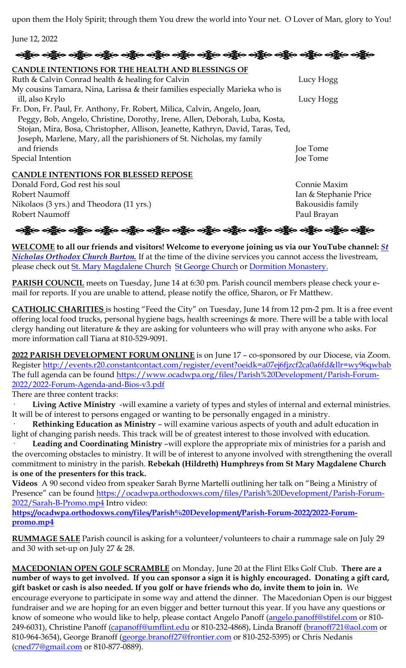upon them the Holy Spirit; through them You drew the world into Your net. O Lover of Man, glory to You!

June 12, 2022

|  |  |  | ခန္တိုေ ခန္တိုေ ခန္တိုေ ရန္သို့ေ ခန္တိုေ ခန္တိုင္ ခန္သိုင္း ရန္သို့ေရန္သုိ႔ သို့ေခန္သိုင္း ရန္သို့ေ |
|--|--|--|-----------------------------------------------------------------------------------------------------|
|--|--|--|-----------------------------------------------------------------------------------------------------|

| CANDLE INTENTIONS FOR THE HEALTH AND BLESSINGS OF                               |           |
|---------------------------------------------------------------------------------|-----------|
| Ruth & Calvin Conrad health & healing for Calvin                                | Lucy Hogg |
| My cousins Tamara, Nina, Larissa & their families especially Marieka who is     |           |
| ill, also Krylo                                                                 | Lucy Hogg |
| Fr. Don, Fr. Paul, Fr. Anthony, Fr. Robert, Milica, Calvin, Angelo, Joan,       |           |
| Peggy, Bob, Angelo, Christine, Dorothy, Irene, Allen, Deborah, Luba, Kosta,     |           |
| Stojan, Mira, Bosa, Christopher, Allison, Jeanette, Kathryn, David, Taras, Ted, |           |
| Joseph, Marlene, Mary, all the parishioners of St. Nicholas, my family          |           |
| and friends                                                                     | Joe Tome  |
| Special Intention                                                               | Joe Tome  |
| <b>CANDLE INTENTIONS FOR BLESSED REPOSE</b>                                     |           |

Donald Ford, God rest his soul Connie Maxim Robert Naumoff Ian & Stephanie Price Nikolaos (3 yrs.) and Theodora (11 yrs.) Bakousidis family Robert Naumoff **Paul Brayan** 

# ခရွို့လ ခရွို့လ ခရွို့လ ခရွို့လ ခရွို့လ ခရွို့လ ခရွို့လ ခရွို့လ ခရွို့လ ခရွို့လ ခရွို့လ ခရွို့လ ခရွို့လ ခရွိုလ

**WELCOME to all our friends and visitors! Welcome to everyone joining us via our YouTube channel:** *[St](https://www.youtube.com/channel/UC59tV-Re443z-GCoETAUvfA)  [Nicholas Orthodox Church Burton.](https://www.youtube.com/channel/UC59tV-Re443z-GCoETAUvfA)* If at the time of the divine services you cannot access the livestream, please check out [St. Mary Magdalene Church](https://www.youtube.com/channel/UClHAqZrWkXdYELujbbIslHg) [St George Church](https://www.youtube.com/channel/UCpLWfxMIJK4uQOV41ekE6Wg/videos?view=2&flow=grid) or [Dormition Monastery.](https://www.youtube.com/channel/UC3z4Gp5OYPGhWYOxm-GlVnA)

**PARISH COUNCIL** meets on Tuesday, June 14 at 6:30 pm. Parish council members please check your email for reports. If you are unable to attend, please notify the office, Sharon, or Fr Matthew.

**CATHOLIC CHARITIES** is hosting "Feed the City" on Tuesday, June 14 from 12 pm-2 pm. It is a free event offering local food trucks, personal hygiene bags, health screenings & more. There will be a table with local clergy handing out literature & they are asking for volunteers who will pray with anyone who asks. For more information call Tiana at 810-529-9091.

**2022 PARISH DEVELOPMENT FORUM ONLINE** is on June 17 – co-sponsored by our Diocese, via Zoom. Register<http://events.r20.constantcontact.com/register/event?oeidk=a07ej6fjzcf2ca0a6fd&llr=wy96qwbab> The full agenda can be found [https://www.ocadwpa.org/files/Parish%20Development/Parish-Forum-](https://www.ocadwpa.org/files/Parish%20Development/Parish-Forum-2022/2022-Forum-Agenda-and-Bios-v3.pdf)[2022/2022-Forum-Agenda-and-Bios-v3.pdf](https://www.ocadwpa.org/files/Parish%20Development/Parish-Forum-2022/2022-Forum-Agenda-and-Bios-v3.pdf)

There are three content tracks:

Living Active Ministry -will examine a variety of types and styles of internal and external ministries. It will be of interest to persons engaged or wanting to be personally engaged in a ministry.

Rethinking Education as Ministry - will examine various aspects of youth and adult education in light of changing parish needs. This track will be of greatest interest to those involved with education.

Leading and Coordinating Ministry -will explore the appropriate mix of ministries for a parish and the overcoming obstacles to ministry. It will be of interest to anyone involved with strengthening the overall commitment to ministry in the parish. **Rebekah (Hildreth) Humphreys from St Mary Magdalene Church is one of the presenters for this track.**

**Videos** A 90 second video from speaker Sarah Byrne Martelli outlining her talk on "Being a Ministry of Presence" can be found [https://ocadwpa.orthodoxws.com/files/Parish%20Development/Parish-Forum-](https://ocadwpa.orthodoxws.com/files/Parish%20Development/Parish-Forum-2022/Sarah-B-Promo.mp4)[2022/Sarah-B-Promo.mp4](https://ocadwpa.orthodoxws.com/files/Parish%20Development/Parish-Forum-2022/Sarah-B-Promo.mp4) Intro video:

**[https://ocadwpa.orthodoxws.com/files/Parish%20Development/Parish-Forum-2022/2022-Forum](https://ocadwpa.orthodoxws.com/files/Parish%20Development/Parish-Forum-2022/2022-Forum-promo.mp4)[promo.mp4](https://ocadwpa.orthodoxws.com/files/Parish%20Development/Parish-Forum-2022/2022-Forum-promo.mp4)**

**RUMMAGE SALE** Parish council is asking for a volunteer/volunteers to chair a rummage sale on July 29 and 30 with set-up on July 27 & 28.

**MACEDONIAN OPEN GOLF SCRAMBLE** on Monday, June 20 at the Flint Elks Golf Club. **There are a number of ways to get involved. If you can sponsor a sign it is highly encouraged. Donating a gift card, gift basket or cash is also needed. If you golf or have friends who do, invite them to join in.** We encourage everyone to participate in some way and attend the dinner. The Macedonian Open is our biggest fundraiser and we are hoping for an even bigger and better turnout this year. If you have any questions or know of someone who would like to help, please contact Angelo Panoff [\(angelo.panoff@stifel.com](mailto:angelo.panoff@stifel.com) or 810-249-6031), Christine Panoff [\(capanoff@umflint.edu](mailto:capanoff@umflint.edu) or 810-232-4868), Linda Branoff [\(branoff721@aol.com](mailto:branoff721@aol.com) or 810-964-3654), George Branoff [\(george.branoff27@frontier.com](mailto:george.branoff27@frontier.com) or 810-252-5395) or Chris Nedanis [\(cned77@gmail.com](mailto:cned77@gmail.com) or 810-877-0889).